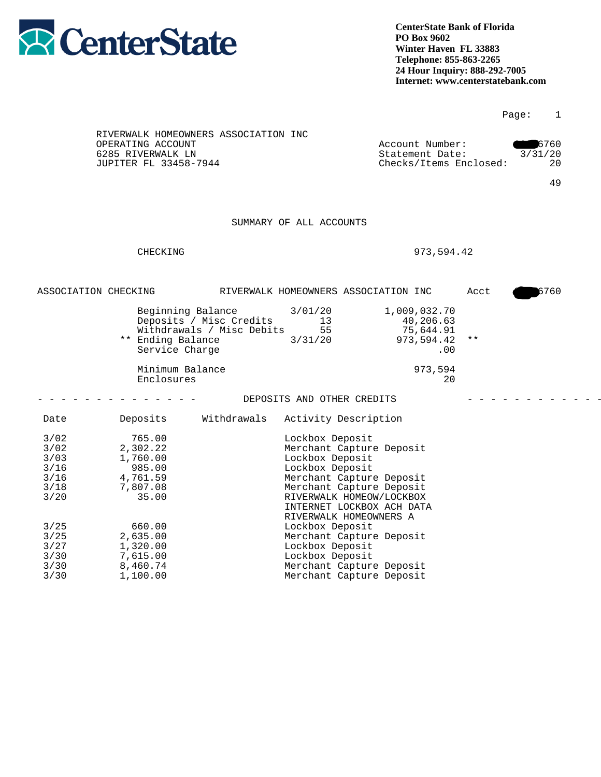

|                                                                  |                                                                                     |                                                                           |                                                                                                                                                                                                                                                 |                                                                |      | Page:   | $\overline{1}$   |
|------------------------------------------------------------------|-------------------------------------------------------------------------------------|---------------------------------------------------------------------------|-------------------------------------------------------------------------------------------------------------------------------------------------------------------------------------------------------------------------------------------------|----------------------------------------------------------------|------|---------|------------------|
|                                                                  | OPERATING ACCOUNT<br>6285 RIVERWALK LN<br>JUPITER FL 33458-7944                     | RIVERWALK HOMEOWNERS ASSOCIATION INC                                      |                                                                                                                                                                                                                                                 | Account Number:<br>Statement Date:<br>Checks/Items Enclosed:   |      | 3/31/20 | 6760<br>20<br>49 |
|                                                                  |                                                                                     |                                                                           | SUMMARY OF ALL ACCOUNTS                                                                                                                                                                                                                         |                                                                |      |         |                  |
|                                                                  | CHECKING                                                                            |                                                                           |                                                                                                                                                                                                                                                 | 973,594.42                                                     |      |         |                  |
|                                                                  | ASSOCIATION CHECKING                                                                |                                                                           | RIVERWALK HOMEOWNERS ASSOCIATION INC                                                                                                                                                                                                            |                                                                | Acct |         | 5760             |
|                                                                  | ** Ending Balance<br>Service Charge                                                 | Beginning Balance<br>Deposits / Misc Credits<br>Withdrawals / Misc Debits | 3/01/20<br>13<br>55<br>3/31/20                                                                                                                                                                                                                  | 1,009,032.70<br>40,206.63<br>75,644.91<br>973,594.42 **<br>.00 |      |         |                  |
|                                                                  | Minimum Balance<br>Enclosures                                                       |                                                                           |                                                                                                                                                                                                                                                 | 973,594<br>20                                                  |      |         |                  |
|                                                                  |                                                                                     |                                                                           | DEPOSITS AND OTHER CREDITS                                                                                                                                                                                                                      |                                                                |      |         |                  |
| Date                                                             | Deposits                                                                            | Withdrawals                                                               | Activity Description                                                                                                                                                                                                                            |                                                                |      |         |                  |
| 3/02<br>3/02<br>3/03<br>$3/16$<br>$3/16$<br>3/18<br>3/20<br>3/25 | 765.00<br>2,302.22<br>1,760.00<br>985.00<br>4,761.59<br>7,807.08<br>35.00<br>660.00 |                                                                           | Lockbox Deposit<br>Merchant Capture Deposit<br>Lockbox Deposit<br>Lockbox Deposit<br>Merchant Capture Deposit<br>Merchant Capture Deposit<br>RIVERWALK HOMEOW/LOCKBOX<br>INTERNET LOCKBOX ACH DATA<br>RIVERWALK HOMEOWNERS A<br>Lockbox Deposit |                                                                |      |         |                  |
| $3/25$<br>3/27<br>3/30<br>3/30<br>3/30                           | 2,635.00<br>1,320.00<br>7,615.00<br>8,460.74<br>1,100.00                            |                                                                           | Merchant Capture Deposit<br>Lockbox Deposit<br>Lockbox Deposit<br>Merchant Capture Deposit<br>Merchant Capture Deposit                                                                                                                          |                                                                |      |         |                  |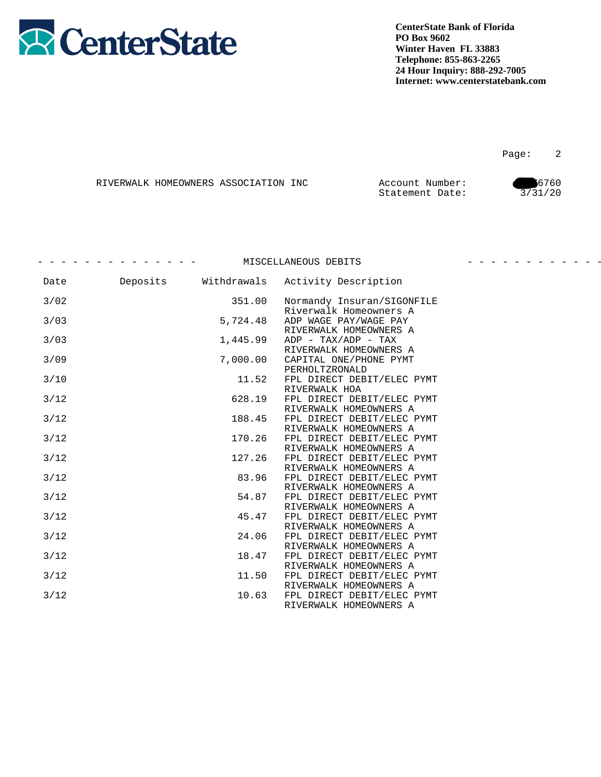

Page: 2

|  | RIVERWALK HOMEOWNERS ASSOCIATION INC | Account Number: | 6760    |
|--|--------------------------------------|-----------------|---------|
|  |                                      | Statement Date: | 3/31/20 |

|      |          |             | MISCELLANEOUS DEBITS                                 |  |
|------|----------|-------------|------------------------------------------------------|--|
| Date | Deposits | Withdrawals | Activity Description                                 |  |
| 3/02 |          | 351.00      | Normandy Insuran/SIGONFILE<br>Riverwalk Homeowners A |  |
| 3/03 |          | 5,724.48    | ADP WAGE PAY/WAGE PAY<br>RIVERWALK HOMEOWNERS A      |  |
| 3/03 |          | 1,445.99    | $ADP - TAX/ADP - TAX$<br>RIVERWALK HOMEOWNERS A      |  |
| 3/09 |          | 7,000.00    | CAPITAL ONE/PHONE PYMT<br>PERHOLTZRONALD             |  |
| 3/10 |          | 11.52       | FPL DIRECT DEBIT/ELEC PYMT<br>RIVERWALK HOA          |  |
| 3/12 |          | 628.19      | FPL DIRECT DEBIT/ELEC PYMT<br>RIVERWALK HOMEOWNERS A |  |
| 3/12 |          | 188.45      | FPL DIRECT DEBIT/ELEC PYMT<br>RIVERWALK HOMEOWNERS A |  |
| 3/12 |          | 170.26      | FPL DIRECT DEBIT/ELEC PYMT<br>RIVERWALK HOMEOWNERS A |  |
| 3/12 |          | 127.26      | FPL DIRECT DEBIT/ELEC PYMT<br>RIVERWALK HOMEOWNERS A |  |
| 3/12 |          | 83.96       | FPL DIRECT DEBIT/ELEC PYMT<br>RIVERWALK HOMEOWNERS A |  |
| 3/12 |          | 54.87       | FPL DIRECT DEBIT/ELEC PYMT<br>RIVERWALK HOMEOWNERS A |  |
| 3/12 |          | 45.47       | FPL DIRECT DEBIT/ELEC PYMT<br>RIVERWALK HOMEOWNERS A |  |
| 3/12 |          | 24.06       | FPL DIRECT DEBIT/ELEC PYMT<br>RIVERWALK HOMEOWNERS A |  |
| 3/12 |          | 18.47       | FPL DIRECT DEBIT/ELEC PYMT<br>RIVERWALK HOMEOWNERS A |  |
| 3/12 |          | 11.50       | FPL DIRECT DEBIT/ELEC PYMT<br>RIVERWALK HOMEOWNERS A |  |
| 3/12 |          | 10.63       | FPL DIRECT DEBIT/ELEC PYMT<br>RIVERWALK HOMEOWNERS A |  |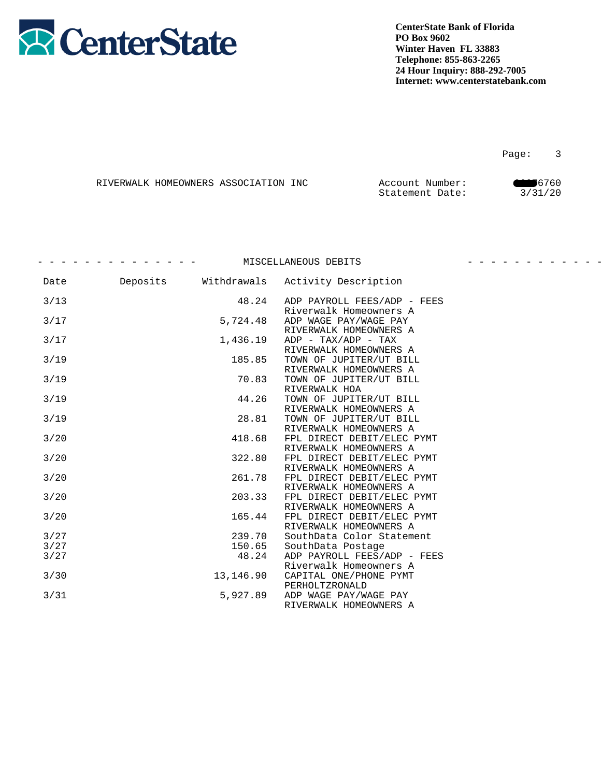

Page: 3

|  | RIVERWALK HOMEOWNERS ASSOCIATION INC | Account Number: | 6760    |
|--|--------------------------------------|-----------------|---------|
|  |                                      | Statement Date: | 3/31/20 |

|      |          |             | MISCELLANEOUS DEBITS                                  | - - - - - - - - - - - - - |
|------|----------|-------------|-------------------------------------------------------|---------------------------|
| Date | Deposits | Withdrawals | Activity Description                                  |                           |
| 3/13 |          | 48.24       | ADP PAYROLL FEES/ADP - FEES<br>Riverwalk Homeowners A |                           |
| 3/17 |          | 5,724.48    | ADP WAGE PAY/WAGE PAY<br>RIVERWALK HOMEOWNERS A       |                           |
| 3/17 |          | 1,436.19    | $ADP - TAX/ADP - TAX$<br>RIVERWALK HOMEOWNERS A       |                           |
| 3/19 |          | 185.85      | TOWN OF JUPITER/UT BILL<br>RIVERWALK HOMEOWNERS A     |                           |
| 3/19 |          | 70.83       | TOWN OF JUPITER/UT BILL<br>RIVERWALK HOA              |                           |
| 3/19 |          | 44.26       | TOWN OF JUPITER/UT BILL<br>RIVERWALK HOMEOWNERS A     |                           |
| 3/19 |          | 28.81       | TOWN OF JUPITER/UT BILL<br>RIVERWALK HOMEOWNERS A     |                           |
| 3/20 |          | 418.68      | FPL DIRECT DEBIT/ELEC PYMT<br>RIVERWALK HOMEOWNERS A  |                           |
| 3/20 |          | 322.80      | FPL DIRECT DEBIT/ELEC PYMT<br>RIVERWALK HOMEOWNERS A  |                           |
| 3/20 |          | 261.78      | FPL DIRECT DEBIT/ELEC PYMT<br>RIVERWALK HOMEOWNERS A  |                           |
| 3/20 |          | 203.33      | FPL DIRECT DEBIT/ELEC PYMT<br>RIVERWALK HOMEOWNERS A  |                           |
| 3/20 |          | 165.44      | FPL DIRECT DEBIT/ELEC PYMT<br>RIVERWALK HOMEOWNERS A  |                           |
| 3/27 |          | 239.70      | SouthData Color Statement                             |                           |
| 3/27 |          | 150.65      | SouthData Postage                                     |                           |
| 3/27 |          | 48.24       | ADP PAYROLL FEES/ADP - FEES<br>Riverwalk Homeowners A |                           |
| 3/30 |          | 13,146.90   | CAPITAL ONE/PHONE PYMT<br>PERHOLTZRONALD              |                           |
| 3/31 |          | 5,927.89    | ADP WAGE PAY/WAGE PAY<br>RIVERWALK HOMEOWNERS A       |                           |